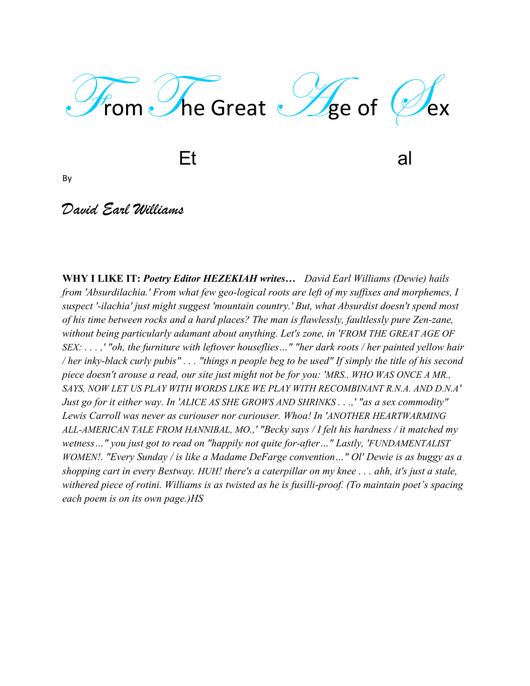

extended by the contract of the contract of the contract of the contract of the contract of the contract of the contract of the contract of the contract of the contract of the contract of the contract of the contract of th

By

## *David Earl Williams*

**WHY I LIKE IT:** *Poetry Editor HEZEKIAH writes… David Earl Williams (Dewie) hails from 'Absurdilachia.' From what few geo-logical roots are left of my suffixes and morphemes, I suspect '-ilachia' just might suggest 'mountain country.' But, what Absurdist doesn't spend most of his time between rocks and a hard places? The man is flawlessly, faultlessly pure Zen-zane, without being particularly adamant about anything. Let's zone, in 'FROM THE GREAT AGE OF SEX: . . . ,' "oh, the furniture with leftover houseflies…" "her dark roots / her painted yellow hair / her inky-black curly pubis" . . . "things n people beg to be used" If simply the title of his second piece doesn't arouse a read, our site just might not be for you: 'MRS., WHO WAS ONCE A MR., SAYS, NOW LET US PLAY WITH WORDS LIKE WE PLAY WITH RECOMBINANT R.N.A. AND D.N.A' Just go for it either way. In 'ALICE AS SHE GROWS AND SHRINKS . . .,' "as a sex commodity" Lewis Carroll was never as curiouser nor curiouser. Whoa! In 'ANOTHER HEARTWARMING ALL-AMERICAN TALE FROM HANNIBAL, MO.,' "Becky says / I felt his hardness / it matched my wetness…" you just got to read on "happily not quite for-after…" Lastly, 'FUNDAMENTALIST WOMEN!. "Every Sunday / is like a Madame DeFarge convention..." Ol' Dewie is as buggy as a shopping cart in every Bestway. HUH! there's a caterpillar on my knee . . . ahh, it's just a stale, withered piece of rotini. Williams is as twisted as he is fusilli-proof. (To maintain poet's spacing each poem is on its own page.)HS*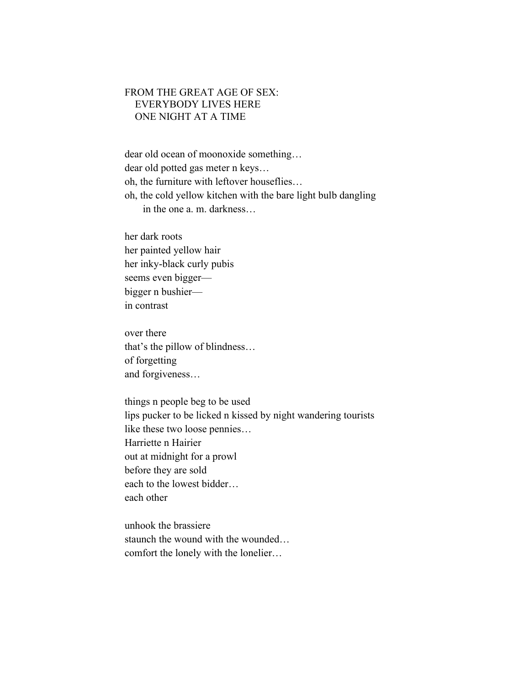## FROM THE GREAT AGE OF SEX: EVERYBODY LIVES HERE ONE NIGHT AT A TIME

dear old ocean of moonoxide something… dear old potted gas meter n keys… oh, the furniture with leftover houseflies… oh, the cold yellow kitchen with the bare light bulb dangling in the one a. m. darkness…

her dark roots her painted yellow hair her inky-black curly pubis seems even bigger bigger n bushier in contrast

over there that's the pillow of blindness… of forgetting and forgiveness…

things n people beg to be used lips pucker to be licked n kissed by night wandering tourists like these two loose pennies… Harriette n Hairier out at midnight for a prowl before they are sold each to the lowest bidder… each other

unhook the brassiere staunch the wound with the wounded… comfort the lonely with the lonelier…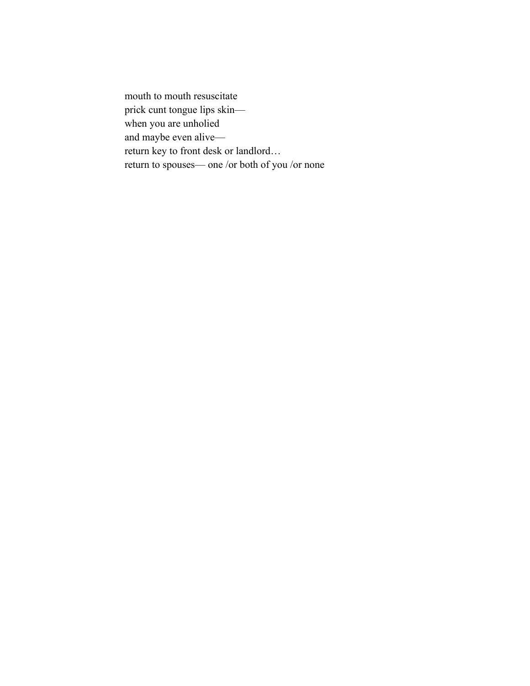mouth to mouth resuscitate prick cunt tongue lips skin when you are unholied and maybe even alive return key to front desk or landlord… return to spouses— one /or both of you /or none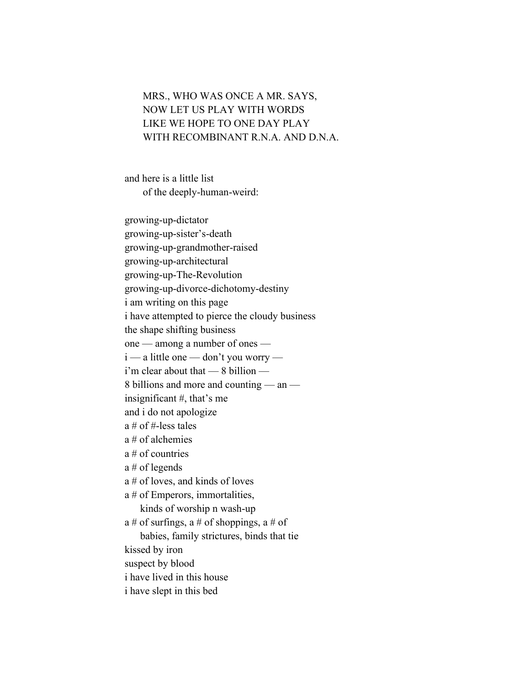## MRS., WHO WAS ONCE A MR. SAYS, NOW LET US PLAY WITH WORDS LIKE WE HOPE TO ONE DAY PLAY WITH RECOMBINANT R.N.A. AND D.N.A.

and here is a little list of the deeply-human-weird:

growing-up-dictator growing-up-sister's-death growing-up-grandmother-raised growing-up-architectural growing-up-The-Revolution growing-up-divorce-dichotomy-destiny i am writing on this page i have attempted to pierce the cloudy business the shape shifting business one — among a number of ones i — a little one — don't you worry i'm clear about that — 8 billion — 8 billions and more and counting — an insignificant #, that's me and i do not apologize a # of #-less tales a # of alchemies a # of countries a # of legends a # of loves, and kinds of loves a # of Emperors, immortalities, kinds of worship n wash-up a # of surfings, a # of shoppings, a # of babies, family strictures, binds that tie kissed by iron suspect by blood i have lived in this house i have slept in this bed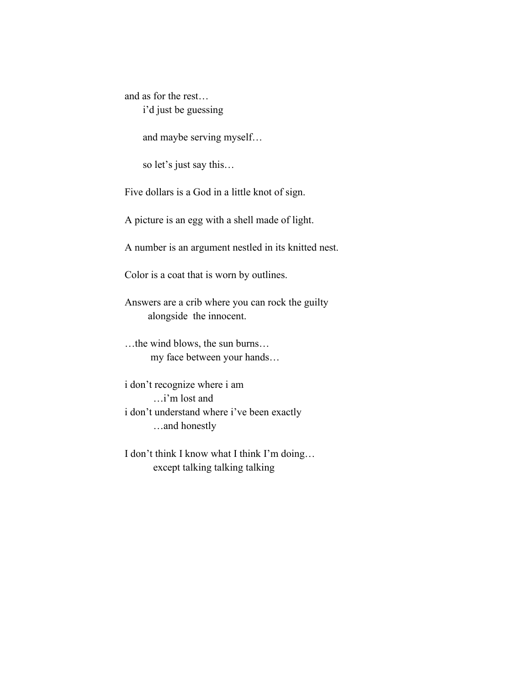and as for the rest… i'd just be guessing

and maybe serving myself…

so let's just say this…

Five dollars is a God in a little knot of sign.

A picture is an egg with a shell made of light.

A number is an argument nestled in its knitted nest.

Color is a coat that is worn by outlines.

Answers are a crib where you can rock the guilty alongside the innocent.

…the wind blows, the sun burns… my face between your hands…

i don't recognize where i am …i'm lost and i don't understand where i've been exactly …and honestly

I don't think I know what I think I'm doing… except talking talking talking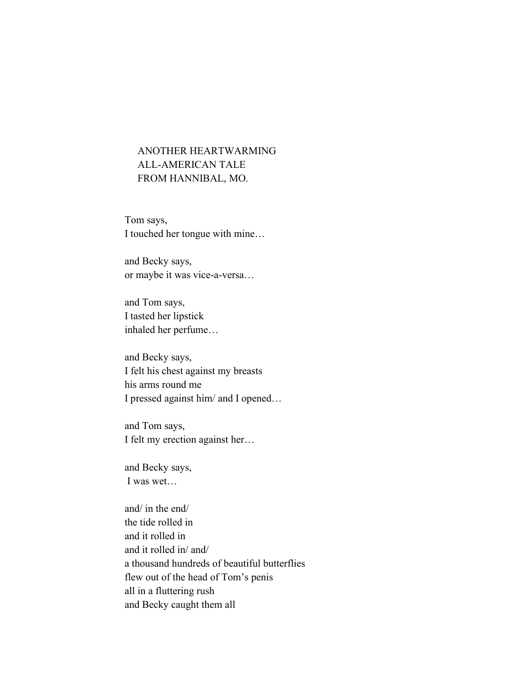## ANOTHER HEARTWARMING ALL-AMERICAN TALE FROM HANNIBAL, MO.

Tom says, I touched her tongue with mine…

and Becky says, or maybe it was vice-a-versa…

and Tom says, I tasted her lipstick inhaled her perfume…

and Becky says, I felt his chest against my breasts his arms round me I pressed against him/ and I opened…

and Tom says, I felt my erection against her…

and Becky says, I was wet…

and/ in the end/ the tide rolled in and it rolled in and it rolled in/ and/ a thousand hundreds of beautiful butterflies flew out of the head of Tom's penis all in a fluttering rush and Becky caught them all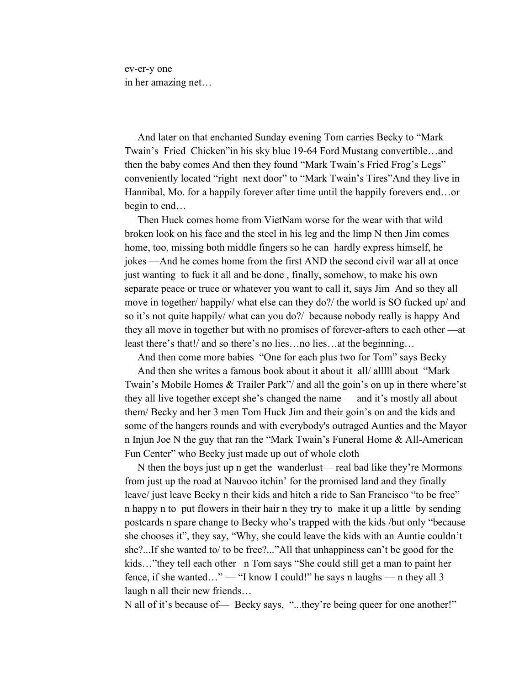ev-er-y one in her amazing net…

 And later on that enchanted Sunday evening Tom carries Becky to "Mark Twain's Fried Chicken"in his sky blue 19-64 Ford Mustang convertible…and then the baby comes And then they found "Mark Twain's Fried Frog's Legs" conveniently located "right next door" to "Mark Twain's Tires"And they live in Hannibal, Mo. for a happily forever after time until the happily forevers end…or begin to end…

 Then Huck comes home from VietNam worse for the wear with that wild broken look on his face and the steel in his leg and the limp N then Jim comes home, too, missing both middle fingers so he can hardly express himself, he jokes —And he comes home from the first AND the second civil war all at once just wanting to fuck it all and be done , finally, somehow, to make his own separate peace or truce or whatever you want to call it, says Jim And so they all move in together/ happily/ what else can they do?/ the world is SO fucked up/ and so it's not quite happily/ what can you do?/ because nobody really is happy And they all move in together but with no promises of forever-afters to each other —at least there's that!/ and so there's no lies…no lies…at the beginning…

And then come more babies "One for each plus two for Tom" says Becky

And then she writes a famous book about it about it all/ alllll about "Mark Twain's Mobile Homes & Trailer Park"/ and all the goin's on up in there where'st they all live together except she's changed the name — and it's mostly all about them/ Becky and her 3 men Tom Huck Jim and their goin's on and the kids and some of the hangers rounds and with everybody's outraged Aunties and the Mayor n Injun Joe N the guy that ran the "Mark Twain's Funeral Home & All-American Fun Center" who Becky just made up out of whole cloth

 N then the boys just up n get the wanderlust— real bad like they're Mormons from just up the road at Nauvoo itchin' for the promised land and they finally leave/ just leave Becky n their kids and hitch a ride to San Francisco "to be free" n happy n to put flowers in their hair n they try to make it up a little by sending postcards n spare change to Becky who's trapped with the kids /but only "because she chooses it", they say, "Why, she could leave the kids with an Auntie couldn't she?...If she wanted to/ to be free?..."All that unhappiness can't be good for the kids…"they tell each other n Tom says "She could still get a man to paint her fence, if she wanted…" — "I know I could!" he says n laughs — n they all 3 laugh n all their new friends…

N all of it's because of— Becky says, "...they're being queer for one another!"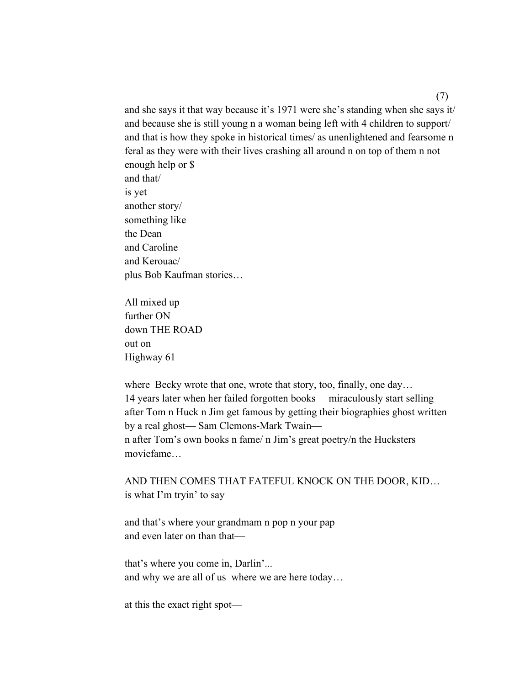and she says it that way because it's 1971 were she's standing when she says it/ and because she is still young n a woman being left with 4 children to support/ and that is how they spoke in historical times/ as unenlightened and fearsome n feral as they were with their lives crashing all around n on top of them n not enough help or \$ and that/ is yet another story/ something like the Dean and Caroline and Kerouac/ plus Bob Kaufman stories…

All mixed up further ON down THE ROAD out on Highway 61

where Becky wrote that one, wrote that story, too, finally, one day… 14 years later when her failed forgotten books— miraculously start selling after Tom n Huck n Jim get famous by getting their biographies ghost written by a real ghost— Sam Clemons-Mark Twain n after Tom's own books n fame/ n Jim's great poetry/n the Hucksters moviefame…

AND THEN COMES THAT FATEFUL KNOCK ON THE DOOR, KID… is what I'm tryin' to say

and that's where your grandmam n pop n your pap and even later on than that—

that's where you come in, Darlin'... and why we are all of us where we are here today…

at this the exact right spot—

(7)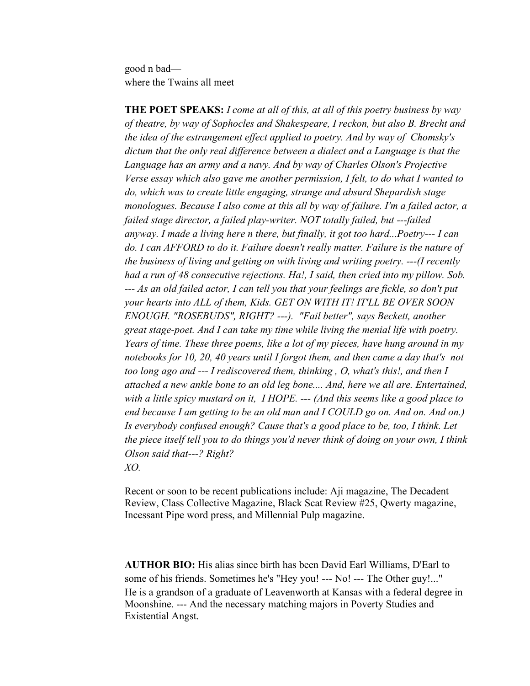good n bad where the Twains all meet

**THE POET SPEAKS:** *I come at all of this, at all of this poetry business by way of theatre, by way of Sophocles and Shakespeare, I reckon, but also B. Brecht and the idea of the estrangement effect applied to poetry. And by way of Chomsky's dictum that the only real difference between a dialect and a Language is that the Language has an army and a navy. And by way of Charles Olson's Projective Verse essay which also gave me another permission, I felt, to do what I wanted to do, which was to create little engaging, strange and absurd Shepardish stage monologues. Because I also come at this all by way of failure. I'm a failed actor, a failed stage director, a failed play-writer. NOT totally failed, but ---failed anyway. I made a living here n there, but finally, it got too hard...Poetry--- I can do. I can AFFORD to do it. Failure doesn't really matter. Failure is the nature of the business of living and getting on with living and writing poetry. ---(I recently had a run of 48 consecutive rejections. Ha!, I said, then cried into my pillow. Sob. --- As an old failed actor, I can tell you that your feelings are fickle, so don't put your hearts into ALL of them, Kids. GET ON WITH IT! IT'LL BE OVER SOON ENOUGH. "ROSEBUDS", RIGHT? ---). "Fail better", says Beckett, another great stage-poet. And I can take my time while living the menial life with poetry. Years of time. These three poems, like a lot of my pieces, have hung around in my notebooks for 10, 20, 40 years until I forgot them, and then came a day that's not too long ago and --- I rediscovered them, thinking , O, what's this!, and then I attached a new ankle bone to an old leg bone.... And, here we all are. Entertained, with a little spicy mustard on it, I HOPE. --- (And this seems like a good place to end because I am getting to be an old man and I COULD go on. And on. And on.) Is everybody confused enough? Cause that's a good place to be, too, I think. Let the piece itself tell you to do things you'd never think of doing on your own, I think Olson said that---? Right?*

*XO.*

Recent or soon to be recent publications include: Aji magazine, The Decadent Review, Class Collective Magazine, Black Scat Review #25, Qwerty magazine, Incessant Pipe word press, and Millennial Pulp magazine.

**AUTHOR BIO:** His alias since birth has been David Earl Williams, D'Earl to some of his friends. Sometimes he's "Hey you! --- No! --- The Other guy!..." He is a grandson of a graduate of Leavenworth at Kansas with a federal degree in Moonshine. --- And the necessary matching majors in Poverty Studies and Existential Angst.